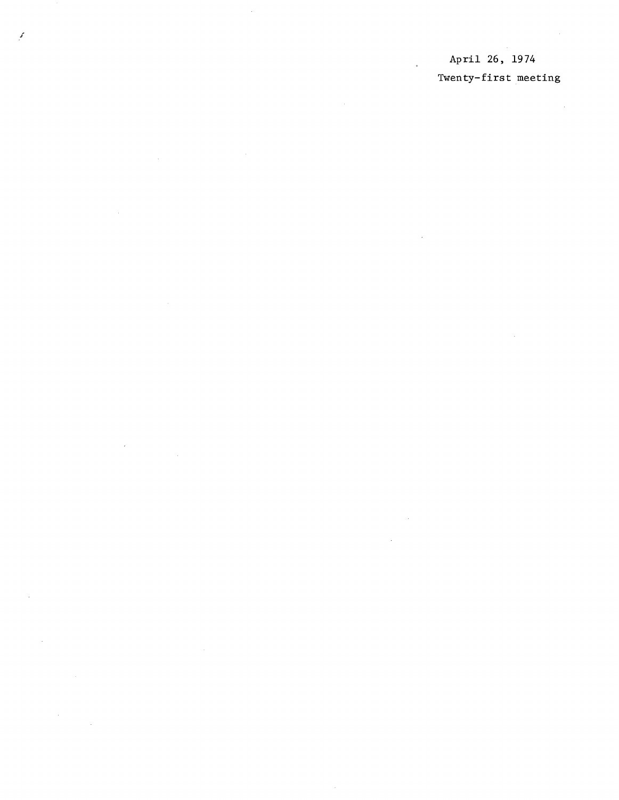## April 26, 1974 Twenty-first meeting

 $\boldsymbol{f}$ 

 $\bar{\gamma}$ 

 $\mathcal{A}^{\mathcal{A}}$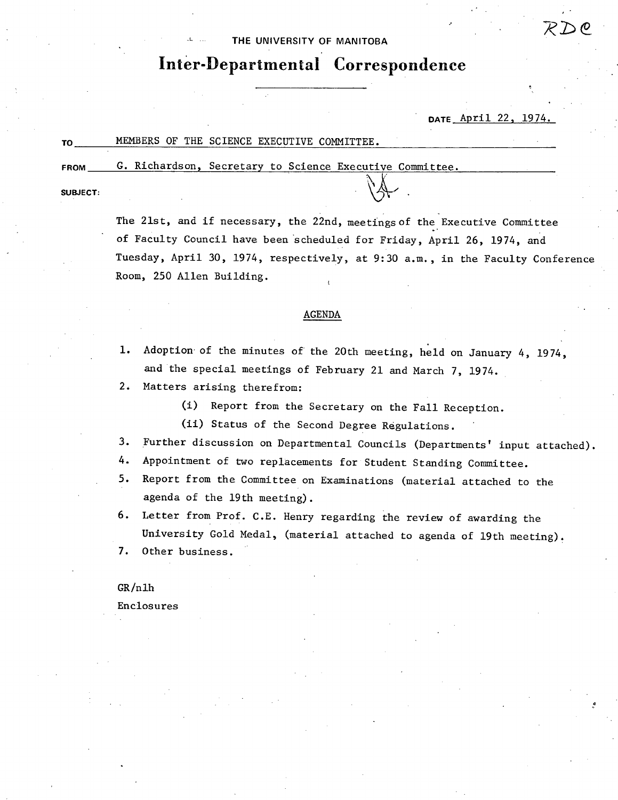### THE UNIVERSITY **OF MANITOBA**

# **Inter-Departmental Correspondence**

**DATE** April 22, 1974.

|             | MEMBERS OF THE SCIENCE EXECUTIVE COMMITTEE.              |  |
|-------------|----------------------------------------------------------|--|
| <b>FROM</b> | G. Richardson, Secretary to Science Executive Committee. |  |

**SUBJECT:** 

The 21st, and if necessary, the 22nd, meetings of the Executive Committee of Faculty Council have been scheduled for Friday, April 26, 1974, and Tuesday, April 30, 1974, respectively, at 9:30 a.m., in the Faculty Conference Room, 250 Allen Building.

 $\mathbb{A}$ .

### AGENDA

- 1. Adoption of the minutes of the 20th meeting, held on January 4, 1974, and the special meetings of February 21 and March 7, 1974.
- 2. Matters arising therefrom:
	- (i) Report from the Secretary on the Fall Reception.

(ii) Status of the Second Degree Regulations.

- 3. Further discussion on Departmental Councils (Departments' input attached).
- 4. Appointment of two replacements for Student Standing Committee.
- 5. Report from the Committee on Examinations (material attached to the agenda of the 19th meeting).
- 6. Letter from Prof. C.E. Henry regarding the review of awarding the University Gold Medal, (material attached to agenda of 19th meeting).

7. Other business.

GR /nlh Enclosures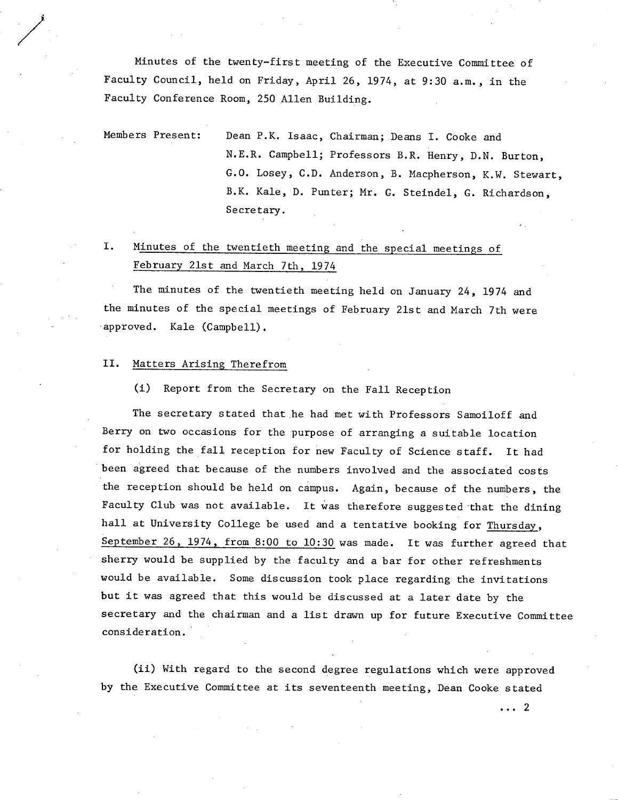Minutes of the twenty-first meeting of the Executive Committee of Faculty Council, held on Friday, April 26, 1974, at 9:30 a.m., in the Faculty Conference Room, 250 Allen Building.

Members Present: Dean P.K. Isaac, Chairman; Deans I. Cooke and N.E.R. Campbell; Professors B.R. Henry, D.N. Burton, G.O. Losey, C.D. Anderson, B. Macpherson, K.W. Stewart, B.K. Kale, D. Punter; Mr. G. Steindel, C. Richardson, Secretary.

#### I. Minutes of the twentieth meeting and the special meetings of February 21st and March 7th, 1974

The minutes of the twentieth meeting held on January 24, 1974 and the minutes of the special meetings of February 21st and March 7th were approved. Kale (Campbell).

#### Matters Arising Therefrom II.

/

(1) Report from the Secretary on the Fall Reception

The secretary stated that he had met with Professors Samoiloff and Berry on two occasions for the purpose of arranging a suitable location for holding the fall reception for new Faculty of Science staff. It had been agreed that because of the numbers involved and the associated costs the reception should be held on campus. Again, because of the numbers, the Faculty Club was not available. It was therefore suggested that the dining hall at University College be used and a tentative booking for Thursday, September 26, 1974, from 8:00 to  $10:30$  was made. It was further agreed that sherry would be supplied by the faculty and a bar for other refreshments would be available. Some discussion took place regarding the invitations but it was agreed that this would be discussed at a later date by the secretary and the chairman and a list drawn up for future Executive Committee consideration.

(ii) With regard to the second degree regulations which were approved by the Executive Committee at its seventeenth meeting, Dean Cooke stated

 $\cdots$  2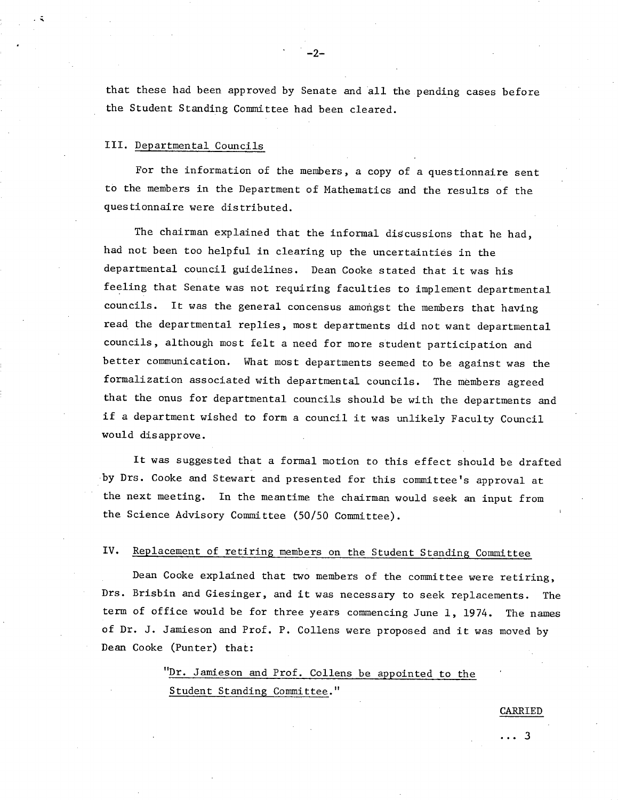that these had been approved by Senate and all the pending cases before the Student Standing Committee had been cleared.

 $-2-$ 

## III. Departmental Councils

For the information of the members, a copy of a questionnaire sent to the members in the Department of Mathematics and the results of the questionnaire were distributed.

The chairman explained that the informal discussions that he had, had not been too helpful in clearing up the uncertainties in the departmental council guidelines. Dean Cooke stated that it was his feeling that Senate was not requiring faculties to implement departmental councils. It was the general concensus amongst the members that having read the departmental replies, most departments did not want departmental councils, although most felt a need for more student participation and better communication. What most departments seemed to be against was the formalization associated with departmental councils. The members agreed that the onus for departmental councils should be with the departments and if a department wished to form a council it was unlikely Faculty Council would disapprove.

It was suggested that a formal motion to this effect should be drafted by Drs. Cooke and Stewart and presented for this committee's approval at the next meeting. In the meantime the chairman would seek an input from the Science Advisory Committee (50/50 Committee).

#### IV. Replacement of retiring members on the Student Standing Committee

Dean Cooke explained that two members of the committee were retiring, Drs. Brisbin and Giesinger, and it was necessary to seek replacements. The term of office would be for three years commencing June 1, 1974. The names of Dr. J. Jamieson and Prof. P. Collens were proposed and it was moved by Dean Cooke (Punter) that:

> "Dr. Jamieson and Prof. Collens be appointed to the Student Standing Committee."

> > CARRIED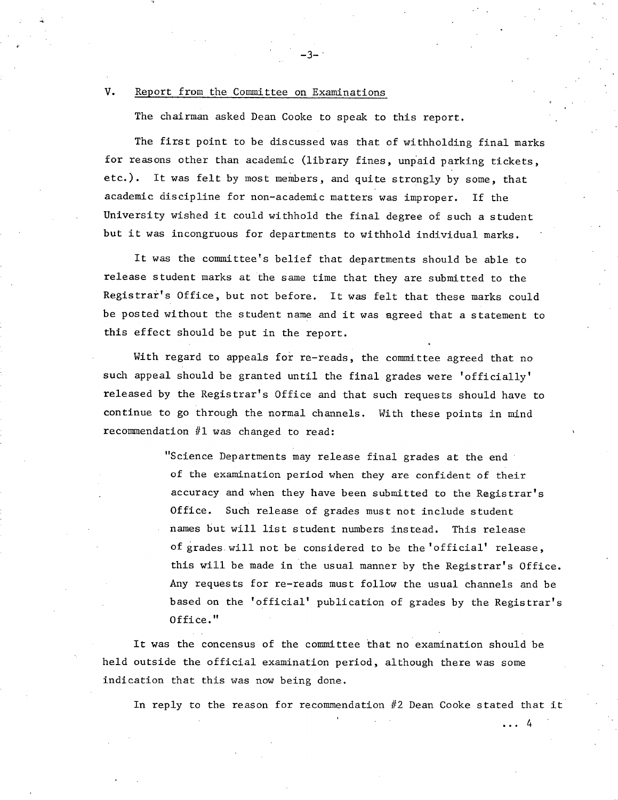### V. Report from the Committee on Examinations

The chairman asked Dean Cooke to speak to this report.

-.3--

The first point to be discussed was that of withholding final marks for reasons other than academic (library fines, unpaid parking tickets, etc.). It was felt by most members, and quite strongly by some, that academic discipline for non-academic matters was improper. If the University wished it could withhold the final degree of such a student but it was incongruous for departments to withhold individual marks.

It was the committee's belief that departments should be able to release student marks at the same time that they are submitted to the Registrar's Office, but not before. It was felt that these marks could be posted without the student name and it was agreed that a statement to this effect should be put in the report.

With regard to appeals for re-reads, the committee agreed that no such appeal should be granted until the final grades were 'officially' released by the Registrar's Office and that such requests should have to continue to go through the normal channels. With these points in mind recommendation #1 was changed to read:

> "Science Departments may release final grades at the end of the examination period when they are confident of their accuracy and when they have been submitted to the Registrar's Office. Such release of grades must not include student names but will list student numbers instead. This release of grades will not be considered to be the 'official' release, this will be made in the usual manner by the Registrar's Office. Any requests for re-reads must follow the usual channels and be based on the 'official' publication of grades by the Registrar's Office."

It was the concensus of the committee that no examination should be held outside the official examination period, although there was some indication that this was now being done.

In reply to the reason for recommendation #2 Dean Cooke stated that it

 $\ldots$  4